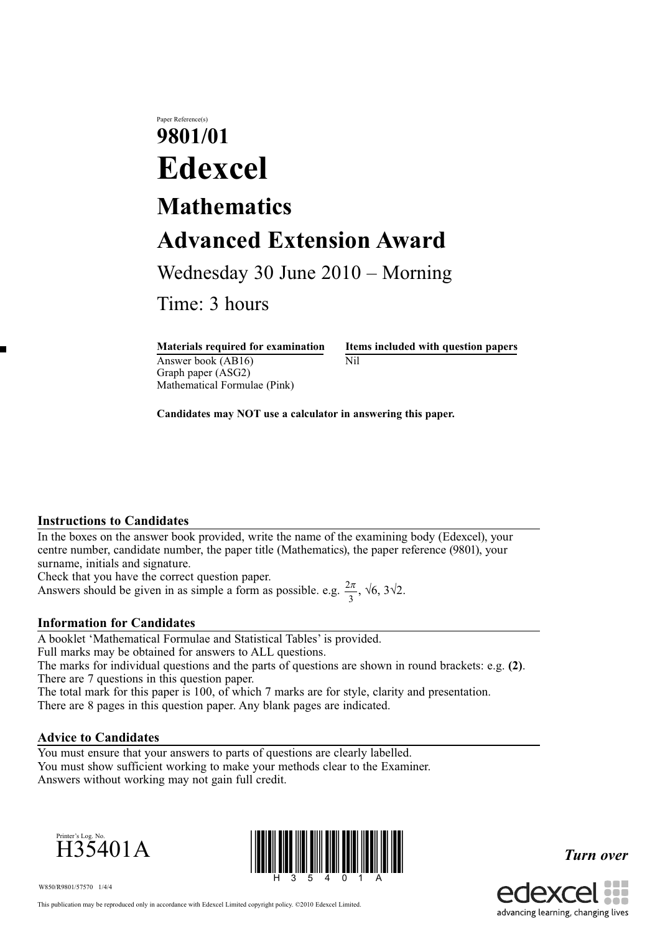Paper Reference(s)

# **9801/01 Edexcel Mathematics Advanced Extension Award**

Wednesday 30 June 2010 – Morning

Time: 3 hours

Answer book  $(AB16)$  Nil Graph paper (ASG2) Mathematical Formulae (Pink)

**Materials required for examination Items included with question papers**

**Candidates may NOT use a calculator in answering this paper.**

### **Instructions to Candidates**

In the boxes on the answer book provided, write the name of the examining body (Edexcel), your centre number, candidate number, the paper title (Mathematics), the paper reference (9801), your surname, initials and signature.

Check that you have the correct question paper.

Answers should be given in as simple a form as possible. e.g.  $\frac{2\pi}{3}$ ,  $\sqrt{6}$ ,  $3\sqrt{2}$ .

## **Information for Candidates**

A booklet 'Mathematical Formulae and Statistical Tables' is provided. Full marks may be obtained for answers to ALL questions.

The marks for individual questions and the parts of questions are shown in round brackets: e.g. **(2)**. There are 7 questions in this question paper.

The total mark for this paper is 100, of which 7 marks are for style, clarity and presentation.

There are 8 pages in this question paper. Any blank pages are indicated.

## **Advice to Candidates**

You must ensure that your answers to parts of questions are clearly labelled. You must show sufficient working to make your methods clear to the Examiner. Answers without working may not gain full credit.





*Turn over*



W850/R9801/57570 1/4/4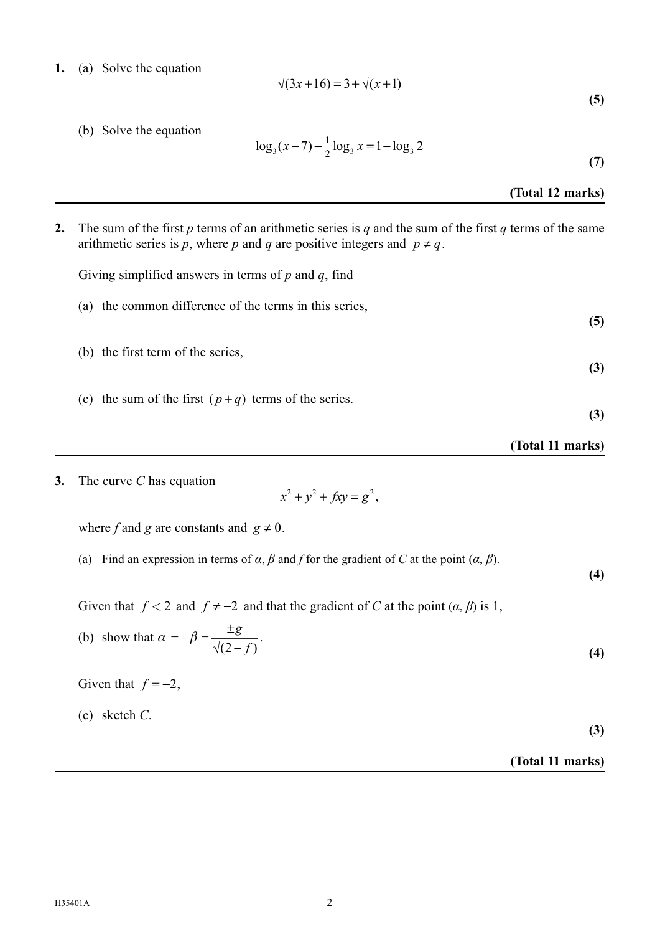**1.** (a) Solve the equation

$$
\sqrt{(3x+16)} = 3 + \sqrt{(x+1)}
$$

(b) Solve the equation

$$
\log_3(x-7) - \frac{1}{2}\log_3 x = 1 - \log_3 2\tag{7}
$$

#### **(Total 12 marks)**

**(5)**

**(5)**

**(3)**

**(3)**

**(Total 11 marks)**

**2.** The sum of the first *p* terms of an arithmetic series is *q* and the sum of the first *q* terms of the same arithmetic series is *p*, where *p* and *q* are positive integers and  $p \neq q$ .

Giving simplified answers in terms of *p* and *q*, find

(a) the common difference of the terms in this series,

(b) the first term of the series,

- (c) the sum of the first  $(p+q)$  terms of the series.
- **3.** The curve *C* has equation

$$
x^2 + y^2 + fxy = g^2,
$$

where *f* and *g* are constants and  $g \neq 0$ .

(a) Find an expression in terms of  $\alpha$ ,  $\beta$  and  $f$  for the gradient of  $C$  at the point  $(\alpha, \beta)$ .

**(4)**

- Given that  $f < 2$  and  $f \neq -2$  and that the gradient of *C* at the point  $(a, \beta)$  is 1,
- (b) show that  $\alpha = -\beta = \frac{-\epsilon}{\sqrt{2 f}}$  $\alpha = -\beta = \frac{\pm g}{\sqrt{2-f}}.$ **(4)**

Given that  $f = -2$ ,

(c) sketch *C*.

**(3)**

#### **(Total 11 marks)**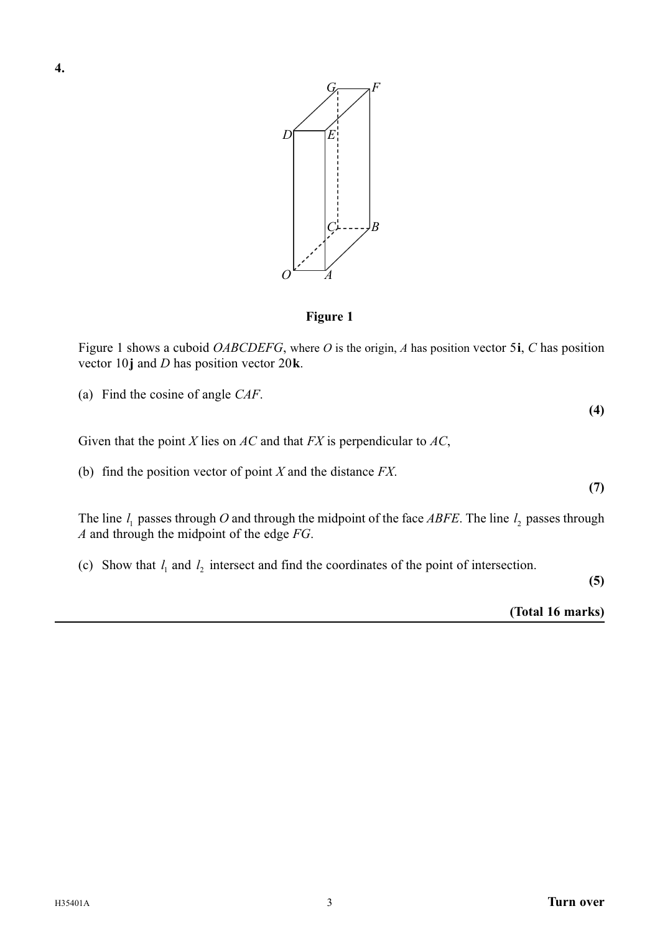

**Figure 1**

Figure 1 shows a cuboid *OABCDEFG*, where *O* is the origin, *A* has position vector 5**i**, *C* has position vector 10**j** and *D* has position vector 20**k**.

| (a) Find the cosine of angle $CAF$ .                                                                                                                   | (4) |
|--------------------------------------------------------------------------------------------------------------------------------------------------------|-----|
| Given that the point X lies on AC and that FX is perpendicular to AC,                                                                                  |     |
| (b) find the position vector of point X and the distance $FX$ .                                                                                        | (7) |
| The line $l_1$ passes through O and through the midpoint of the face ABFE. The line $l_2$ passes through<br>A and through the midpoint of the edge FG. |     |
| (c) Show that $l_1$ and $l_2$ intersect and find the coordinates of the point of intersection.                                                         | (5) |

**(Total 16 marks)**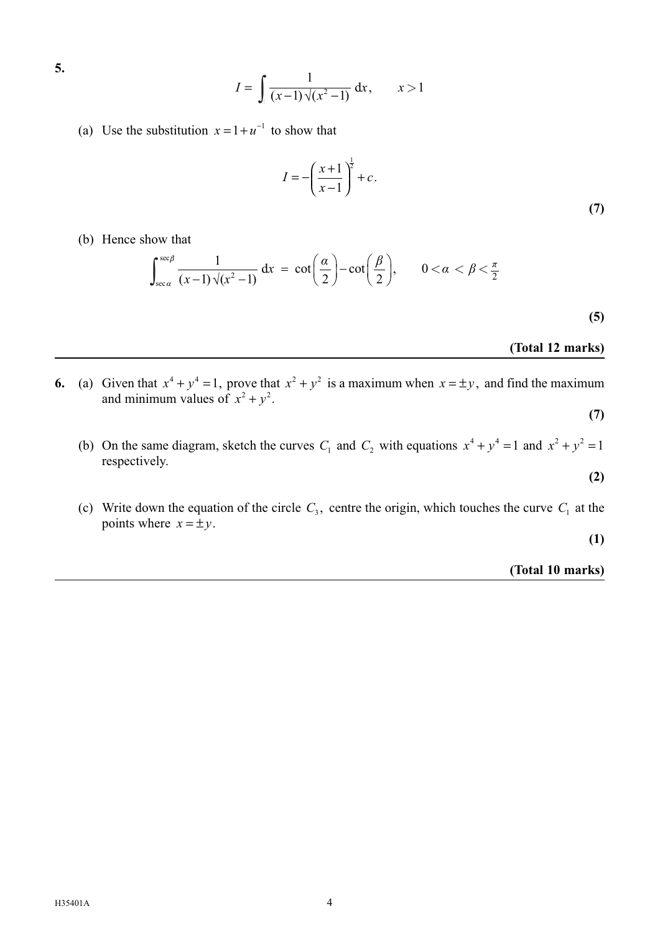$$
I = \int \frac{1}{(x-1)\sqrt{x^2-1}} \, \mathrm{d}x, \qquad x > 1
$$

(a) Use the substitution  $x = 1 + u^{-1}$  to show that

$$
I = -\left(\frac{x+1}{x-1}\right)^{\frac{1}{2}} + c.
$$
 (7)

(b) Hence show that

$$
\int_{\sec\alpha}^{\sec\beta} \frac{1}{(x-1)\sqrt{x^2-1}} dx = \cot\left(\frac{\alpha}{2}\right) - \cot\left(\frac{\beta}{2}\right), \qquad 0 < \alpha < \beta < \frac{\pi}{2}
$$

**(5)**

**(7)**

#### **(Total 12 marks)**

- **6.** (a) Given that  $x^4 + y^4 = 1$ , prove that  $x^2 + y^2$  is a maximum when  $x = \pm y$ , and find the maximum and minimum values of  $x^2 + y^2$ and minimum values of  $x^2 + y^2$ .
- (b) On the same diagram, sketch the curves  $C_1$  and  $C_2$  with equations  $x^4 + y^4 = 1$  and  $x^2 + y^2 = 1$  respectively respectively. **(2)**
	- (c) Write down the equation of the circle  $C_3$ , centre the origin, which touches the curve  $C_1$  at the points where  $x = \pm y$ .

$$
(\mathbf{1})
$$

#### **(Total 10 marks)**

**5.**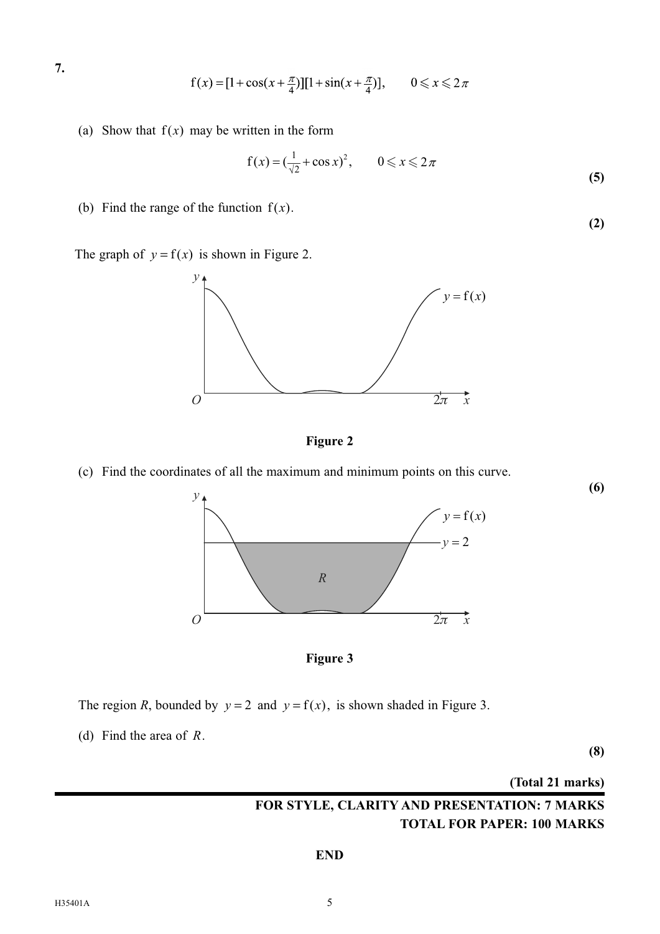$$
f(x) = [1 + \cos(x + \frac{\pi}{4})][1 + \sin(x + \frac{\pi}{4})], \qquad 0 \le x \le 2\pi
$$

(a) Show that  $f(x)$  may be written in the form

$$
f(x) = (\frac{1}{\sqrt{2}} + \cos x)^2
$$
,  $0 \le x \le 2\pi$  (5)

(b) Find the range of the function  $f(x)$ .

The graph of  $y = f(x)$  is shown in Figure 2.





(c) Find the coordinates of all the maximum and minimum points on this curve.



**Figure 3**

The region *R*, bounded by  $y = 2$  and  $y = f(x)$ , is shown shaded in Figure 3.

(d) Find the area of  $R$ .

**(8)**

**(6)**

**(Total 21 marks)**

## **FOR STYLE, CLARITY AND PRESENTATION: 7 MARKS TOTAL FOR PAPER: 100 MARKS**

#### **END**

**(2)**

**7.**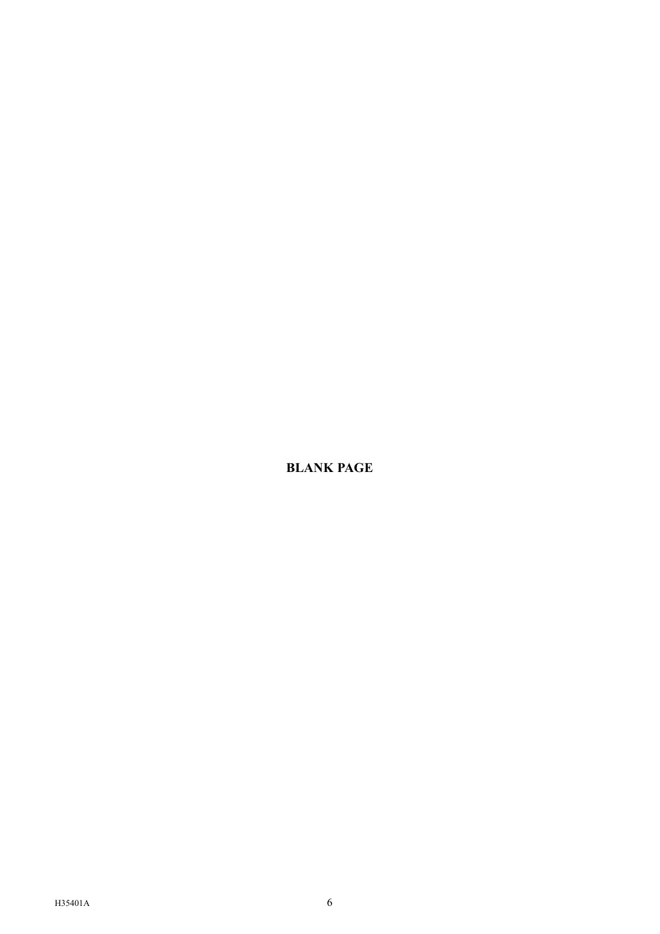**BLANK PAGE**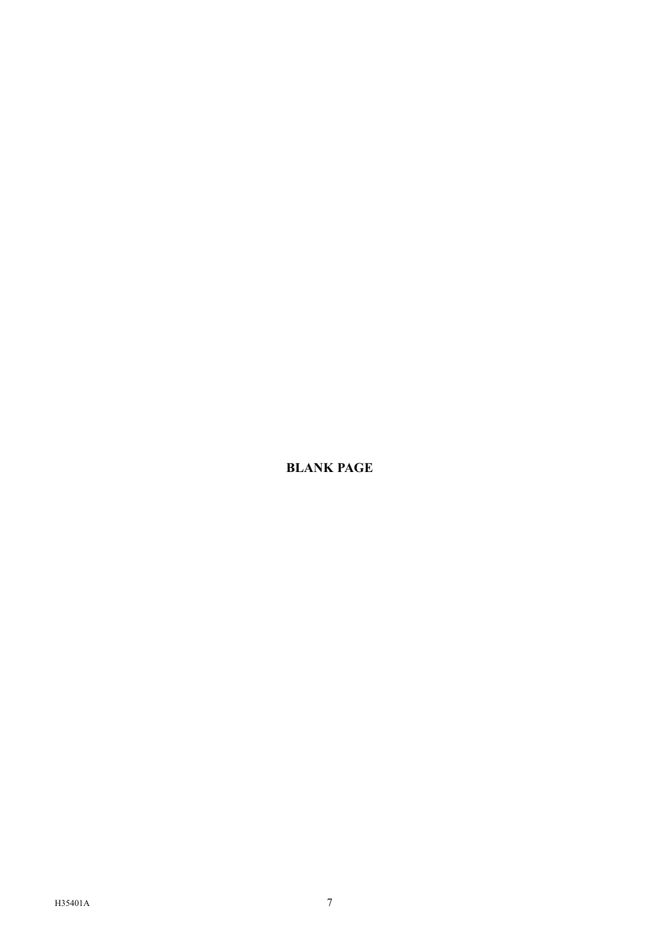**BLANK PAGE**